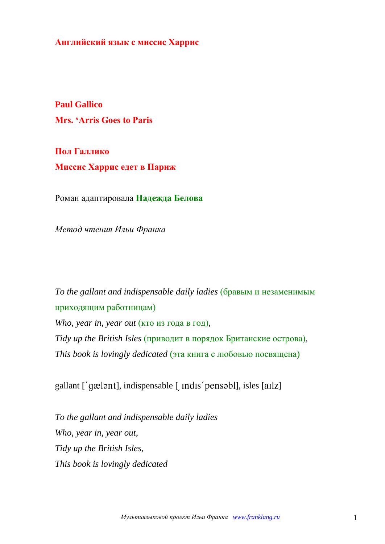**Английский язык с миссис Харрис**

**Paul Gallico Mrs. 'Arris Goes to Paris**

**Пол Галлико Миссис Харрис едет в Париж**

Роман адаптировала **Надежда Белова**

*Метод чтения Ильи Франка*

*To the gallant and indispensable daily ladies* (бравым и незаменимым приходящим работницам) *Who, year in, year out* (кто из года в год)*, Tidy up the British Isles* (приводит в порядок Британские острова)*, This book is lovingly dedicated* (эта книга с любовью посвящена)

gallant ['gælənt], indispensable [ Indis' pensəbl], isles [aɪlz]

*To the gallant and indispensable daily ladies Who, year in, year out, Tidy up the British Isles, This book is lovingly dedicated*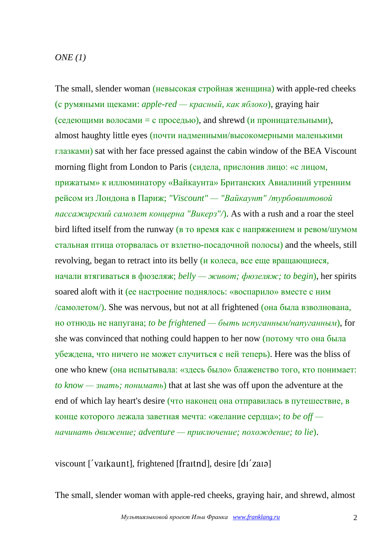#### *ONE (1)*

The small, slender woman (невысокая стройная женщина) with apple-red cheeks (с румяными щеками: *apple-red — красный, как яблоко*), graying hair (седеющими волосами = с проседью), and shrewd (и проницательными), almost haughty little eyes (почти надменными/высокомерными маленькими глазками) sat with her face pressed against the cabin window of the BEA Viscount morning flight from London to Paris (сидела, прислонив лицо: «с лицом, прижатым» к иллюминатору «Вайкаунта» Британских Авиалиний утренним рейсом из Лондона в Париж; *"Viscount" — "Вайкаунт" /турбовинтовой пассажирский самолет концерна "Викерз"/*). As with a rush and a roar the steel bird lifted itself from the runway (в то время как с напряжением и ревом/шумом стальная птица оторвалась от взлетно-посадочной полосы) and the wheels, still revolving, began to retract into its belly (и колеса, все еще вращающиеся, начали втягиваться в фюзеляж; *belly — живот; фюзеляж; to begin*), her spirits soared aloft with it (ее настроение поднялось: «воспарило» вместе с ним /самолетом/). She was nervous, but not at all frightened (она была взволнована, но отнюдь не напугана; *to be frightened — быть испуганным/напуганным*), for she was convinced that nothing could happen to her now (потому что она была убеждена, что ничего не может случиться с ней теперь). Here was the bliss of one who knew (она испытывала: «здесь было» блаженство того, кто понимает: *to know — знать; понимать*) that at last she was off upon the adventure at the end of which lay heart's desire (что наконец она отправилась в путешествие, в конце которого лежала заветная мечта: «желание сердца»; *to be off начинать движение; adventure — приключение; похождение; to lie*).

viscount ['vaikaunt], frightened [fraitnd], desire [di'zaiə]

The small, slender woman with apple-red cheeks, graying hair, and shrewd, almost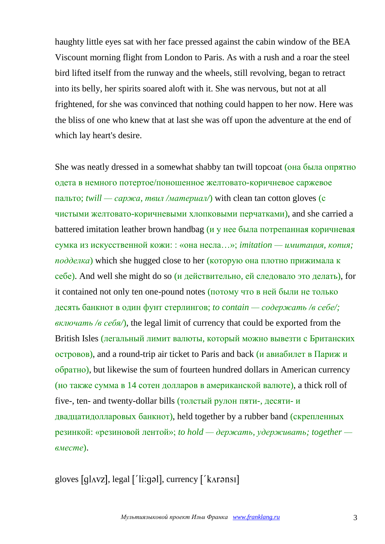haughty little eyes sat with her face pressed against the cabin window of the BEA Viscount morning flight from London to Paris. As with a rush and a roar the steel bird lifted itself from the runway and the wheels, still revolving, began to retract into its belly, her spirits soared aloft with it. She was nervous, but not at all frightened, for she was convinced that nothing could happen to her now. Here was the bliss of one who knew that at last she was off upon the adventure at the end of which lay heart's desire.

She was neatly dressed in a somewhat shabby tan twill topcoat (она была опрятно одета в немного потертое/поношенное желтовато-коричневое саржевое пальто; *twill — саржа, твил /материал/*) with clean tan cotton gloves (с чистыми желтовато-коричневыми хлопковыми перчатками), and she carried a battered imitation leather brown handbag ( $\mu$  у нее была потрепанная коричневая сумка из искусственной кожи: : «она несла…»; *imitation — имитация, копия; подделка*) which she hugged close to her (которую она плотно прижимала к себе). And well she might do so (и действительно, ей следовало это делать), for it contained not only ten one-pound notes (потому что в ней были не только десять банкнот в один фунт стерлингов; *to contain — содержать /в себе/; включать /в себя/*), the legal limit of currency that could be exported from the British Isles (легальный лимит валюты, который можно вывезти с Британских островов), and a round-trip air ticket to Paris and back (и авиабилет в Париж и обратно), but likewise the sum of fourteen hundred dollars in American currency (но также сумма в 14 сотен долларов в американской валюте), a thick roll of five-, ten- and twenty-dollar bills (толстый рулон пяти-, десяти- и двадцатидолларовых банкнот), held together by a rubber band (скрепленных резинкой: «резиновой лентой»; *to hold — держать, удерживать; together вместе*).

gloves [glʌvz], legal ['li:gəl], currency ['kʌrənsɪ]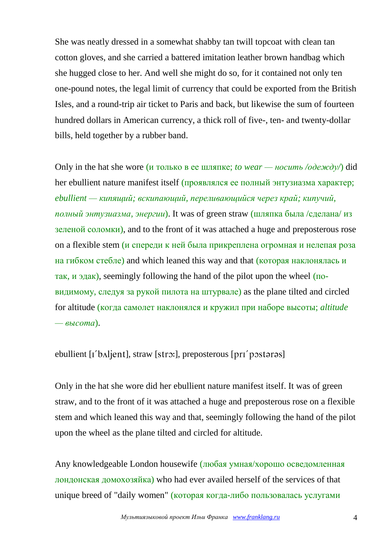She was neatly dressed in a somewhat shabby tan twill topcoat with clean tan cotton gloves, and she carried a battered imitation leather brown handbag which she hugged close to her. And well she might do so, for it contained not only ten one-pound notes, the legal limit of currency that could be exported from the British Isles, and a round-trip air ticket to Paris and back, but likewise the sum of fourteen hundred dollars in American currency, a thick roll of five-, ten- and twenty-dollar bills, held together by a rubber band.

Only in the hat she wore (и только в ее шляпке; *to wear — носить /одежду/*) did her ebullient nature manifest itself (проявлялся ее полный энтузиазма характер; *ebullient — кипящий; вскипающий, переливающийся через край; кипучий, полный энтузиазма, энергии*). It was of green straw (шляпка была /сделана/ из зеленой соломки), and to the front of it was attached a huge and preposterous rose on a flexible stem (и спереди к ней была прикреплена огромная и нелепая роза на гибком стебле) and which leaned this way and that (которая наклонялась и так, и эдак), seemingly following the hand of the pilot upon the wheel (повидимому, следуя за рукой пилота на штурвале) as the plane tilted and circled for altitude (когда самолет наклонялся и кружил при наборе высоты; *altitude — высота*).

ebullient  $[i'$  b $\Lambda$  lient], straw [stro:], preposterous [pri $'$  postaras]

Only in the hat she wore did her ebullient nature manifest itself. It was of green straw, and to the front of it was attached a huge and preposterous rose on a flexible stem and which leaned this way and that, seemingly following the hand of the pilot upon the wheel as the plane tilted and circled for altitude.

Any knowledgeable London housewife (любая умная/хорошо осведомленная лондонская домохозяйка) who had ever availed herself of the services of that unique breed of "daily women" (которая когда-либо пользовалась услугами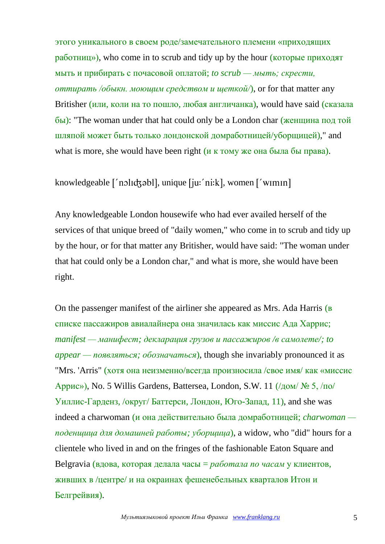этого уникального в своем роде/замечательного племени «приходящих работниц»), who come in to scrub and tidy up by the hour (которые приходят мыть и прибирать с почасовой оплатой; *to scrub — мыть; скрести, оттирать /обыкн. моющим средством и щеткой/*), or for that matter any Britisher (или, коли на то пошло, любая англичанка), would have said (сказала бы): "The woman under that hat could only be a London char (женщина под той шляпой может быть только лондонской домработницей/уборщицей)," and what is more, she would have been right  $(\mu \kappa)$  тому же она была бы права).

knowledgeable ['nolid3əbl], unique [ju:'ni:k], women ['wimin]

Any knowledgeable London housewife who had ever availed herself of the services of that unique breed of "daily women," who come in to scrub and tidy up by the hour, or for that matter any Britisher, would have said: "The woman under that hat could only be a London char," and what is more, she would have been right.

On the passenger manifest of the airliner she appeared as Mrs. Ada Harris (в списке пассажиров авиалайнера она значилась как миссис Ада Харрис; *manifest — манифест; декларация грузов и пассажиров /в самолете/; to appear — появляться; обозначаться*), though she invariably pronounced it as "Mrs. 'Arris" (хотя она неизменно/всегда произносила /свое имя/ как «миссис Аррис»), No. 5 Willis Gardens, Battersea, London, S.W. 11 (/дом/ № 5, /по/ Уиллис-Гарденз, /округ/ Баттерси, Лондон, Юго-Запад, 11), and she was indeed a charwoman (и она действительно была домработницей; *charwoman поденщица для домашней работы; уборщица*), a widow, who "did" hours for a clientele who lived in and on the fringes of the fashionable Eaton Square and Belgravia (вдова, которая делала часы = *работала по часам* у клиентов, живших в /центре/ и на окраинах фешенебельных кварталов Итон и Белгрейвия).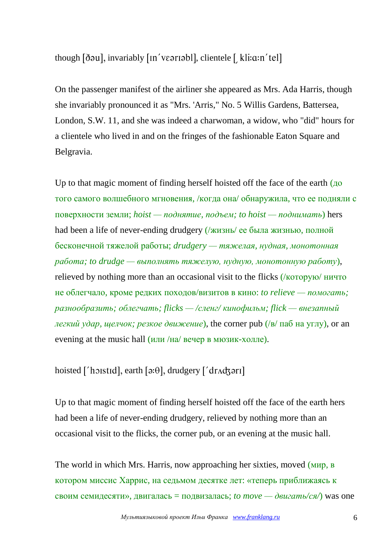though [ðəu], invariably [In'veəriəbl], clientele [kli:a:n'tel]

On the passenger manifest of the airliner she appeared as Mrs. Ada Harris, though she invariably pronounced it as "Mrs. 'Arris," No. 5 Willis Gardens, Battersea, London, S.W. 11, and she was indeed a charwoman, a widow, who "did" hours for a clientele who lived in and on the fringes of the fashionable Eaton Square and Belgravia.

Up to that magic moment of finding herself hoisted off the face of the earth  $\overline{A}$ того самого волшебного мгновения, /когда она/ обнаружила, что ее подняли с поверхности земли; *hoist — поднятие, подъем; to hoist — поднимать*) hers had been a life of never-ending drudgery (/жизнь/ ее была жизнью, полной бесконечной тяжелой работы; *drudgery — тяжелая, нудная, монотонная работа; to drudge — выполнять тяжелую, нудную, монотонную работу*), relieved by nothing more than an occasional visit to the flicks (/которую/ ничто не облегчало, кроме редких походов/визитов в кино: *to relieve — помогать; разнообразить; облегчать; flicks — /сленг/ кинофильм; flick — внезапный легкий удар, щелчок; резкое движение*), the corner pub (/в/ паб на углу), or an evening at the music hall (или /на/ вечер в мюзик-холле).

hoisted ['hoistid], earth [ $a:\theta$ ], drudgery ['dr $\Delta d$ sori]

Up to that magic moment of finding herself hoisted off the face of the earth hers had been a life of never-ending drudgery, relieved by nothing more than an occasional visit to the flicks, the corner pub, or an evening at the music hall.

The world in which Mrs. Harris, now approaching her sixties, moved (мир, в котором миссис Харрис, на седьмом десятке лет: «теперь приближаясь к своим семидесяти», двигалась = подвизалась; *to move — двигать/ся/*) was one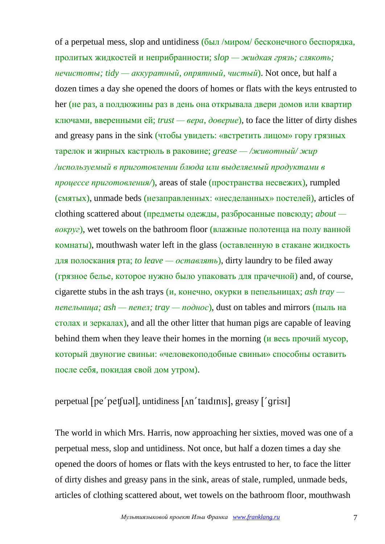of a perpetual mess, slop and untidiness (был /миром/ бесконечного беспорядка, пролитых жидкостей и неприбранности; *slop — жидкая грязь; слякоть; нечистоты; tidy — аккуратный, опрятный, чистый*). Not once, but half a dozen times a day she opened the doors of homes or flats with the keys entrusted to her (не раз, а полдюжины раз в день она открывала двери домов или квартир ключами, вверенными ей; *trust — вера, доверие*), to face the litter of dirty dishes and greasy pans in the sink (чтобы увидеть: «встретить лицом» гору грязных тарелок и жирных кастрюль в раковине; *grease — /животный/ жир /используемый в приготовлении блюда или выделяемый продуктами в процессе приготовления/*), areas of stale (пространства несвежих), rumpled (смятых), unmade beds (незаправленных: «несделанных» постелей), articles of clothing scattered about (предметы одежды, разбросанные повсюду; *about вокруг*), wet towels on the bathroom floor (влажные полотенца на полу ванной комнаты), mouthwash water left in the glass (оставленную в стакане жидкость для полоскания рта; *to leave — оставлять*), dirty laundry to be filed away (грязное белье, которое нужно было упаковать для прачечной) and, of course, cigarette stubs in the ash trays (и, конечно, окурки в пепельницах; *ash tray пепельница; ash — пепел; tray — поднос*), dust on tables and mirrors (пыль на столах и зеркалах), and all the other litter that human pigs are capable of leaving behind them when they leave their homes in the morning (и весь прочий мусор, который двуногие свиньи: «человекоподобные свиньи» способны оставить после себя, покидая свой дом утром).

## perpetual [pe'petfual], untidiness [An'taidinis], greasy ['gri:si]

The world in which Mrs. Harris, now approaching her sixties, moved was one of a perpetual mess, slop and untidiness. Not once, but half a dozen times a day she opened the doors of homes or flats with the keys entrusted to her, to face the litter of dirty dishes and greasy pans in the sink, areas of stale, rumpled, unmade beds, articles of clothing scattered about, wet towels on the bathroom floor, mouthwash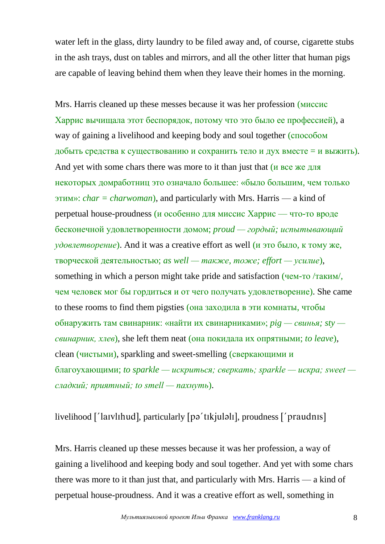water left in the glass, dirty laundry to be filed away and, of course, cigarette stubs in the ash trays, dust on tables and mirrors, and all the other litter that human pigs are capable of leaving behind them when they leave their homes in the morning.

Mrs. Harris cleaned up these messes because it was her profession (миссис Харрис вычищала этот беспорядок, потому что это было ее профессией), a way of gaining a livelihood and keeping body and soul together (способом добыть средства к существованию и сохранить тело и дух вместе = и выжить). And yet with some chars there was more to it than just that (*и* все же для некоторых домработниц это означало большее: «было большим, чем только этим»: *char = charwoman*), and particularly with Mrs. Harris — a kind of perpetual house-proudness (и особенно для миссис Харрис — что-то вроде бесконечной удовлетворенности домом; *proud — гордый; испытывающий удовлетворение*). And it was a creative effort as well (и это было, к тому же, творческой деятельностью; *as well — также, тоже; effort — усилие*), something in which a person might take pride and satisfaction (чем-то /таким/, чем человек мог бы гордиться и от чего получать удовлетворение). She came to these rooms to find them pigsties (она заходила в эти комнаты, чтобы обнаружить там свинарник: «найти их свинарниками»; *pig — свинья; sty свинарник, хлев*), she left them neat (она покидала их опрятными; *to leave*), clean (чистыми), sparkling and sweet-smelling (сверкающими и благоухающими; *to sparkle — искриться; сверкать; sparkle — искра; sweet сладкий; приятный; to smell — пахнуть*).

livelihood ['laɪvlɪhud], particularly [pə'tɪkjuləlɪ], proudness ['praudnɪs]

Mrs. Harris cleaned up these messes because it was her profession, a way of gaining a livelihood and keeping body and soul together. And yet with some chars there was more to it than just that, and particularly with Mrs. Harris — a kind of perpetual house-proudness. And it was a creative effort as well, something in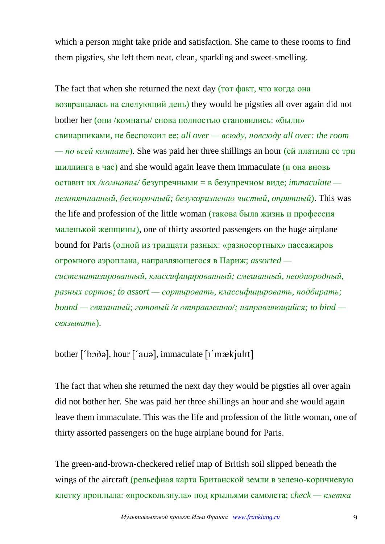which a person might take pride and satisfaction. She came to these rooms to find them pigsties, she left them neat, clean, sparkling and sweet-smelling.

The fact that when she returned the next day (тот факт, что когда она возвращалась на следующий день) they would be pigsties all over again did not bother her (они /комнаты/ снова полностью становились: «были» свинарниками, не беспокоил ее; *all over — всюду, повсюду all over: the room — по всей комнате*). She was paid her three shillings an hour (ей платили ее три шиллинга в час) and she would again leave them immaculate (и она вновь оставит их */комнаты/* безупречными = в безупречном виде; *immaculate незапятнанный, беспорочный; безукоризненно чистый, опрятный*). This was the life and profession of the little woman (такова была жизнь и профессия маленькой женщины), one of thirty assorted passengers on the huge airplane bound for Paris (одной из тридцати разных: «разносортных» пассажиров огромного аэроплана, направляющегося в Париж; *assorted систематизированный, классифицированный; смешанный, неоднородный, разных сортов; to assort — сортировать, классифицировать, подбирать; bound — связанный; готовый /к отправлению/; направляющийся; to bind связывать*).

bother ['boðə], hour ['auə], immaculate [I'mækjulɪt]

The fact that when she returned the next day they would be pigsties all over again did not bother her. She was paid her three shillings an hour and she would again leave them immaculate. This was the life and profession of the little woman, one of thirty assorted passengers on the huge airplane bound for Paris.

The green-and-brown-checkered relief map of British soil slipped beneath the wings of the aircraft (рельефная карта Британской земли в зелено-коричневую клетку проплыла: «проскользнула» под крыльями самолета; *check — клетка*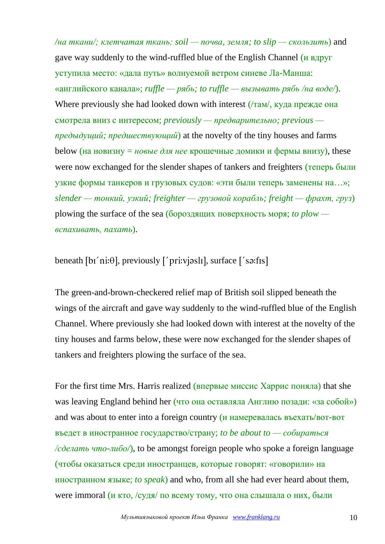*/на ткани/; клетчатая ткань; soil — почва, земля; to slip — скользить*) and gave way suddenly to the wind-ruffled blue of the English Channel (и вдруг уступила место: «дала путь» волнуемой ветром синеве Ла-Манша: «английского канала»; *ruffle — рябь; to ruffle — вызывать рябь /на воде/*). Where previously she had looked down with interest (/там/, куда прежде она смотрела вниз с интересом; *previously — предварительно; previous предыдущий; предшествующий*) at the novelty of the tiny houses and farms below (на новизну = *новые для нее* крошечные домики и фермы внизу), these were now exchanged for the slender shapes of tankers and freighters (теперь были узкие формы танкеров и грузовых судов: «эти были теперь заменены на…»; *slender — тонкий, узкий; freighter — грузовой корабль; freight — фрахт, груз*) plowing the surface of the sea (бороздящих поверхность моря; *to plow вспахивать, пахать*).

### beneath  $[bi'ni:\theta]$ , previously  $['pri:vjəsln]$ , surface  $['sə:fis]$

The green-and-brown-checkered relief map of British soil slipped beneath the wings of the aircraft and gave way suddenly to the wind-ruffled blue of the English Channel. Where previously she had looked down with interest at the novelty of the tiny houses and farms below, these were now exchanged for the slender shapes of tankers and freighters plowing the surface of the sea.

For the first time Mrs. Harris realized (впервые миссис Харрис поняла) that she was leaving England behind her (что она оставляла Англию позади: «за собой») and was about to enter into a foreign country (и намеревалась въехать/вот-вот въедет в иностранное государство/страну; *to be about to — собираться /сделать что-либо/*), to be amongst foreign people who spoke a foreign language (чтобы оказаться среди иностранцев, которые говорят: «говорили» на иностранном языке; *to speak*) and who, from all she had ever heard about them, were immoral (и кто, /судя/ по всему тому, что она слышала о них, были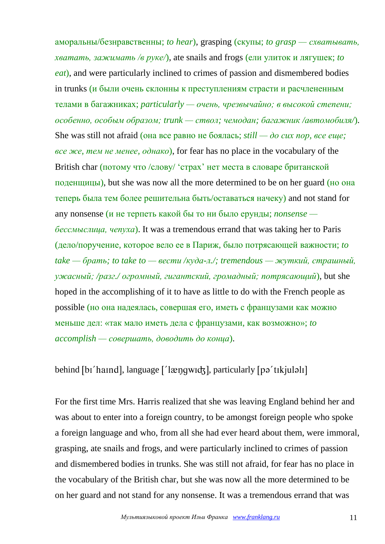аморальны/безнравственны; *to hear*), grasping (скупы; *to grasp — схватывать, хватать, зажимать /в руке/*), ate snails and frogs (ели улиток и лягушек; *to eat*), and were particularly inclined to crimes of passion and dismembered bodies in trunks (и были очень склонны к преступлениям страсти и расчлененным телами в багажниках; *particularly — очень, чрезвычайно; в высокой степени; особенно, особым образом; trunk — ствол; чемодан; багажник /автомобиля/*). She was still not afraid (она все равно не боялась; *still — до сих пор, все еще; все же, тем не менее, однако*), for fear has no place in the vocabulary of the British char (потому что /слову/ 'страх' нет места в словаре британской поденщицы), but she was now all the more determined to be on her guard (но она теперь была тем более решительна быть/оставаться начеку) and not stand for any nonsense (и не терпеть какой бы то ни было ерунды; *nonsense бессмыслица, чепуха*). It was a tremendous errand that was taking her to Paris (дело/поручение, которое вело ее в Париж, было потрясающей важности; *to take — брать; to take to — вести /куда-л./; tremendous — жуткий, страшный, ужасный; /разг./ огромный, гигантский, громадный; потрясающий*), but she hoped in the accomplishing of it to have as little to do with the French people as possible (но она надеялась, совершая его, иметь с французами как можно меньше дел: «так мало иметь дела с французами, как возможно»; *to accomplish — совершать, доводить до конца*).

#### behind [bɪ'haɪnd], language ['længwɪdʒ], particularly [pə'tɪkjuləlɪ]

For the first time Mrs. Harris realized that she was leaving England behind her and was about to enter into a foreign country, to be amongst foreign people who spoke a foreign language and who, from all she had ever heard about them, were immoral, grasping, ate snails and frogs, and were particularly inclined to crimes of passion and dismembered bodies in trunks. She was still not afraid, for fear has no place in the vocabulary of the British char, but she was now all the more determined to be on her guard and not stand for any nonsense. It was a tremendous errand that was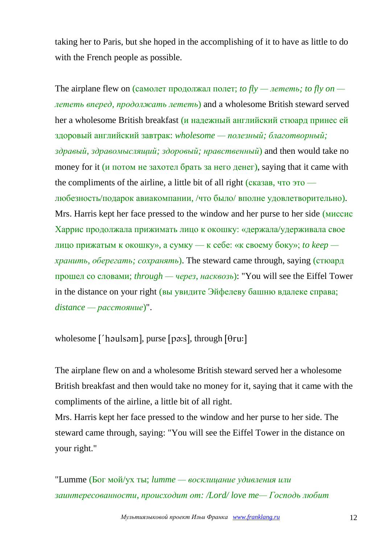taking her to Paris, but she hoped in the accomplishing of it to have as little to do with the French people as possible.

The airplane flew on (самолет продолжал полет; *to fly — лететь; to fly on лететь вперед, продолжать лететь*) and a wholesome British steward served her a wholesome British breakfast (и надежный английский стюард принес ей здоровый английский завтрак: *wholesome — полезный; благотворный; здравый, здравомыслящий; здоровый; нравственный*) and then would take no money for it (и потом не захотел брать за него денег), saying that it came with the compliments of the airline, a little bit of all right ( $\alpha$ казав, что это любезность/подарок авиакомпании, /что было/ вполне удовлетворительно). Mrs. Harris kept her face pressed to the window and her purse to her side (миссис Харрис продолжала прижимать лицо к окошку: «держала/удерживала свое лицо прижатым к окошку», а сумку — к себе: «к своему боку»; *to keep хранить, оберегать; сохранять*). The steward came through, saying (стюард прошел со словами; *through — через, насквозь*): "You will see the Eiffel Tower in the distance on your right (вы увидите Эйфелеву башню вдалеке справа; *distance — расстояние*)".

wholesome ['haulsam], purse [pa:s], through  $[0]$ fu:]

The airplane flew on and a wholesome British steward served her a wholesome British breakfast and then would take no money for it, saying that it came with the compliments of the airline, a little bit of all right.

Mrs. Harris kept her face pressed to the window and her purse to her side. The steward came through, saying: "You will see the Eiffel Tower in the distance on your right."

"Lumme (Бог мой/ух ты; *lumme — восклицание удивления или заинтересованности, происходит от: /Lord/ love me— Господь любит*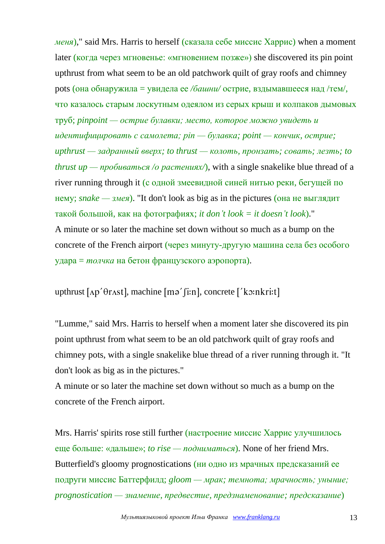*меня*)," said Mrs. Harris to herself (сказала себе миссис Харрис) when a moment later (когда через мгновенье: «мгновением позже») she discovered its pin point upthrust from what seem to be an old patchwork quilt of gray roofs and chimney pots (она обнаружила = увидела ее */башни/* острие, вздымавшееся над /тем/, что казалось старым лоскутным одеялом из серых крыш и колпаков дымовых труб; *pinpoint — острие булавки; место, которое можно увидеть и идентифицировать с самолета; pin — булавка; point — кончик, острие; upthrust — задранный вверх; to thrust — колоть, пронзать; совать; лезть; to thrust up — пробиваться /о растениях/*), with a single snakelike blue thread of a river running through it (с одной змеевидной синей нитью реки, бегущей по нему; *snake — змея*). "It don't look as big as in the pictures (она не выглядит такой большой, как на фотографиях; *it don't look = it doesn't look*)." A minute or so later the machine set down without so much as a bump on the concrete of the French airport (через минуту-другую машина села без особого удара = *толчка* на бетон французского аэропорта).

upthrust [Ap'  $\theta$ rAst], machine [mə' fi:n], concrete ['ko:nkri:t]

"Lumme," said Mrs. Harris to herself when a moment later she discovered its pin point upthrust from what seem to be an old patchwork quilt of gray roofs and chimney pots, with a single snakelike blue thread of a river running through it. "It don't look as big as in the pictures."

A minute or so later the machine set down without so much as a bump on the concrete of the French airport.

Mrs. Harris' spirits rose still further (настроение миссис Харрис улучшилось еще больше: «дальше»; *to rise — подниматься*). None of her friend Mrs. Butterfield's gloomy prognostications (ни одно из мрачных предсказаний ее подруги миссис Баттерфилд; *gloom — мрак; темнота; мрачность; уныние; prognostication — знамение, предвестие, предзнаменование; предсказание*)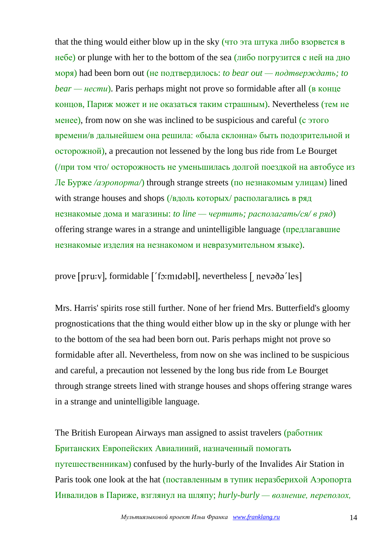that the thing would either blow up in the sky (что эта штука либо взорвется в небе) or plunge with her to the bottom of the sea (либо погрузится с ней на дно моря) had been born out (не подтвердилось: *to bear out — подтверждать; to bear — нести*). Paris perhaps might not prove so formidable after all (в конце концов, Париж может и не оказаться таким страшным). Nevertheless (тем не менее), from now on she was inclined to be suspicious and careful (с этого времени/в дальнейшем она решила: «была склонна» быть подозрительной и осторожной), a precaution not lessened by the long bus ride from Le Bourget (/при том что/ осторожность не уменьшилась долгой поездкой на автобусе из Ле Бурже */аэропорта/*) through strange streets (по незнакомым улицам) lined with strange houses and shops (/вдоль которых/ располагались в ряд незнакомые дома и магазины: *to line — чертить; располагать/ся/ в ряд*) offering strange wares in a strange and unintelligible language (предлагавшие незнакомые изделия на незнакомом и невразумительном языке).

#### prove [pru:v], formidable ['fɔ:mɪdəbl], nevertheless [ nevəðə'les]

Mrs. Harris' spirits rose still further. None of her friend Mrs. Butterfield's gloomy prognostications that the thing would either blow up in the sky or plunge with her to the bottom of the sea had been born out. Paris perhaps might not prove so formidable after all. Nevertheless, from now on she was inclined to be suspicious and careful, a precaution not lessened by the long bus ride from Le Bourget through strange streets lined with strange houses and shops offering strange wares in a strange and unintelligible language.

The British European Airways man assigned to assist travelers (работник Британских Европейских Авиалиний, назначенный помогать путешественникам) confused by the hurly-burly of the Invalides Air Station in Paris took one look at the hat (поставленным в тупик неразберихой Аэропорта Инвалидов в Париже, взглянул на шляпу; *hurly-burly — волнение, переполох,*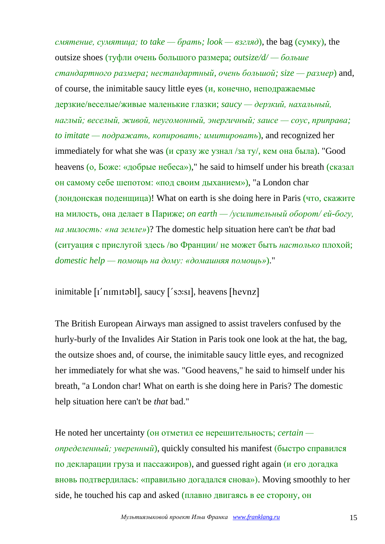*cмятение, сумятица; to take —*  $\delta$ *рать; look — взгляд*), the bag (сумку), the outsize shoes (туфли очень большого размера; *outsize/d/ — больше стандартного размера; нестандартный, очень большой; size — размер*) and, of course, the inimitable saucy little eyes (и, конечно, неподражаемые дерзкие/веселые/живые маленькие глазки; *saucy — дерзкий, нахальный, наглый; веселый, живой, неугомонный, энергичный; sauce — соус, приправа; to imitate — подражать, копировать; имитировать*), and recognized her immediately for what she was (и сразу же узнал /за ту/, кем она была). "Good heavens (о, Боже: «добрые небеса»)," he said to himself under his breath (сказал он самому себе шепотом: «под своим дыханием»), "a London char (лондонская поденщица)! What on earth is she doing here in Paris (что, скажите на милость, она делает в Париже; *on earth — /усилительный оборот/ ей-богу, на милость: «на земле»*)? The domestic help situation here can't be *that* bad (ситуация с прислугой здесь /во Франции/ не может быть *настолько* плохой; *domestic help — помощь на дому: «домашняя помощь»*)."

inimitable [I'nImItabl], saucy ['so:sI], heavens [hevnz]

The British European Airways man assigned to assist travelers confused by the hurly-burly of the Invalides Air Station in Paris took one look at the hat, the bag, the outsize shoes and, of course, the inimitable saucy little eyes, and recognized her immediately for what she was. "Good heavens," he said to himself under his breath, "a London char! What on earth is she doing here in Paris? The domestic help situation here can't be *that* bad."

He noted her uncertainty (он отметил ее нерешительность; *certain определенный; уверенный*), quickly consulted his manifest (быстро справился по декларации груза и пассажиров), and guessed right again (и его догадка вновь подтвердилась: «правильно догадался снова»). Moving smoothly to her side, he touched his cap and asked (плавно двигаясь в ее сторону, он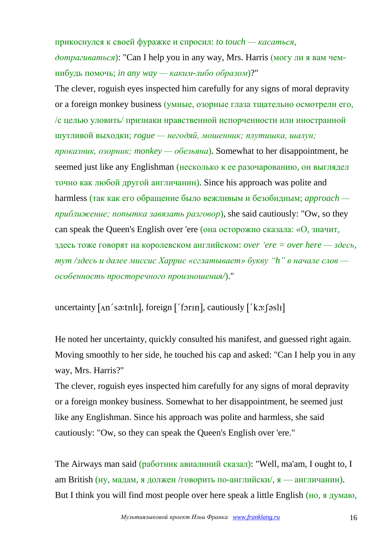прикоснулся к своей фуражке и спросил: *to touch — касаться,* 

*дотрагиваться*): "Can I help you in any way, Mrs. Harris (могу ли я вам чемнибудь помочь; *in any way — каким-либо образом*)?"

The clever, roguish eyes inspected him carefully for any signs of moral depravity or a foreign monkey business (умные, озорные глаза тщательно осмотрели его, /с целью уловить/ признаки нравственной испорченности или иностранной шутливой выходки; *rogue — негодяй, мошенник; плутишка, шалун; проказник, озорник; monkey — обезьяна*). Somewhat to her disappointment, he seemed just like any Englishman (несколько к ее разочарованию, он выглядел точно как любой другой англичанин). Since his approach was polite and harmless (так как его обращение было вежливым и безобидным; *approach приближение; попытка завязать разговор*), she said cautiously: "Ow, so they can speak the Queen's English over 'ere (она осторожно сказала: «О, значит, здесь тоже говорят на королевском английском: *over 'ere = over here — здесь, тут /здесь и далее миссис Харрис «сглатывает» букву "h" в начале слов особенность просторечного произношения/*)."

uncertainty  $\lceil \Delta n \rceil$  satted  $\lceil \Delta n \rceil$ , foreign  $\lceil \Delta n \rceil$ , cautiously  $\lceil \Delta n \rceil$ 

He noted her uncertainty, quickly consulted his manifest, and guessed right again. Moving smoothly to her side, he touched his cap and asked: "Can I help you in any way, Mrs. Harris?"

The clever, roguish eyes inspected him carefully for any signs of moral depravity or a foreign monkey business. Somewhat to her disappointment, he seemed just like any Englishman. Since his approach was polite and harmless, she said cautiously: "Ow, so they can speak the Queen's English over 'ere."

The Airways man said (работник авиалиний сказал): "Well, ma'am, I ought to, I am British (ну, мадам, я должен /говорить по-английски/, я — англичанин). But I think you will find most people over here speak a little English (но, я думаю,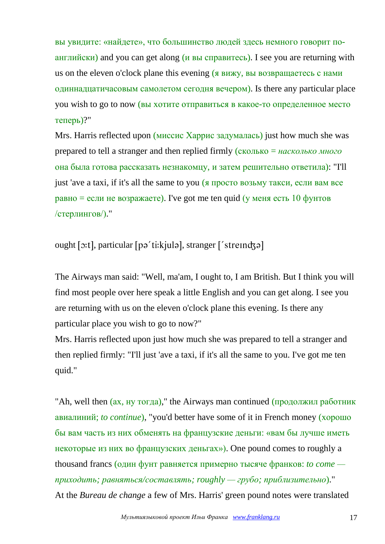вы увидите: «найдете», что большинство людей здесь немного говорит по- $\alpha$ нглийски) and you can get along (и вы справитесь). I see you are returning with us on the eleven o'clock plane this evening (я вижу, вы возвращаетесь с нами одиннадцатичасовым самолетом сегодня вечером). Is there any particular place you wish to go to now (вы хотите отправиться в какое-то определенное место теперь)?"

Mrs. Harris reflected upon (миссис Харрис задумалась) just how much she was prepared to tell a stranger and then replied firmly (*сколько = насколько много* она была готова рассказать незнакомцу, и затем решительно ответила): "I'll just 'ave a taxi, if it's all the same to you (я просто возьму такси, если вам все  $p$ авно = если не возражаете). I've got me ten quid (у меня есть 10 фунтов /стерлингов/)."

ought [o:t], particular [pə'ti:kjulə], stranger ['streɪndʒə]

The Airways man said: "Well, ma'am, I ought to, I am British. But I think you will find most people over here speak a little English and you can get along. I see you are returning with us on the eleven o'clock plane this evening. Is there any particular place you wish to go to now?"

Mrs. Harris reflected upon just how much she was prepared to tell a stranger and then replied firmly: "I'll just 'ave a taxi, if it's all the same to you. I've got me ten quid."

"Ah, well then (ах, ну тогда)," the Airways man continued (продолжил работник авиалиний; *to continue*), "you'd better have some of it in French money (хорошо бы вам часть из них обменять на французские деньги: «вам бы лучше иметь некоторые из них во французских деньгах»). One pound comes to roughly a thousand francs (один фунт равняется примерно тысяче франков: *to come приходить; равняться/составлять; roughly — грубо; приблизительно*)." At the *Bureau de change* a few of Mrs. Harris' green pound notes were translated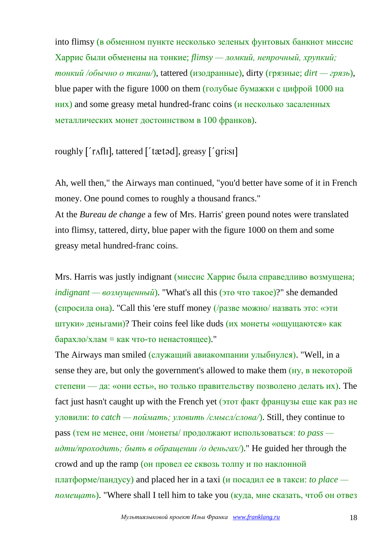into flimsy (в обменном пункте несколько зеленых фунтовых банкнот миссис Харрис были обменены на тонкие; *flimsy — ломкий, непрочный, хрупкий; тонкий /обычно о ткани/*), tattered (изодранные), dirty (грязные; *dirt — грязь*), blue paper with the figure 1000 on them (голубые бумажки с цифрой 1000 на них) and some greasy metal hundred-franc coins (и несколько засаленных металлических монет достоинством в 100 франков).

### roughly ['rʌflɪ], tattered ['tætəd], greasy ['qri:sɪ]

Ah, well then," the Airways man continued, "you'd better have some of it in French money. One pound comes to roughly a thousand francs."

At the *Bureau de change* a few of Mrs. Harris' green pound notes were translated into flimsy, tattered, dirty, blue paper with the figure 1000 on them and some greasy metal hundred-franc coins.

Mrs. Harris was justly indignant (миссис Харрис была справедливо возмущена; *indignant — возмущенный*). "What's all this (это что такое)?" she demanded (спросила она). "Call this 'ere stuff money (/разве можно/ назвать это: «эти штуки» деньгами)? Their coins feel like duds (их монеты «ощущаются» как барахло/хлам = как что-то ненастоящее)."

The Airways man smiled (служащий авиакомпании улыбнулся). "Well, in a sense they are, but only the government's allowed to make them (ну, в некоторой степени — да: «они есть», но только правительству позволено делать их). The fact just hasn't caught up with the French yet (этот факт французы еще как раз не уловили: *to catch — поймать; уловить /смысл/слова/*). Still, they continue to pass (тем не менее, они /монеты/ продолжают использоваться: *to pass идти/проходить; быть в обращении /о деньгах/*)." He guided her through the crowd and up the ramp (он провел ее сквозь толпу и по наклонной платформе/пандусу) and placed her in a taxi (и посадил ее в такси: *to place помещать*). "Where shall I tell him to take you (куда, мне сказать, чтоб он отвез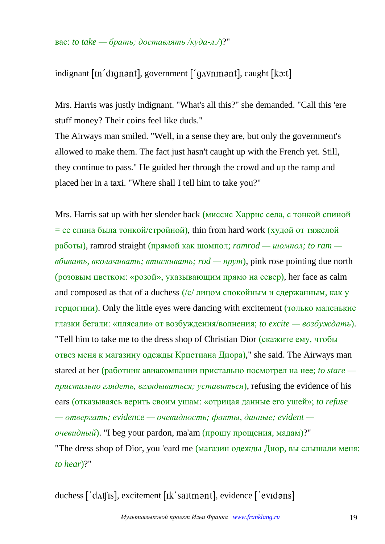вас: *to take* — *брать; доставлять* /куда-л./)?"

# indignant [In'dignant], government ['gavnmant], caught [ko:t]

Mrs. Harris was justly indignant. "What's all this?" she demanded. "Call this 'ere stuff money? Their coins feel like duds."

The Airways man smiled. "Well, in a sense they are, but only the government's allowed to make them. The fact just hasn't caught up with the French yet. Still, they continue to pass." He guided her through the crowd and up the ramp and placed her in a taxi. "Where shall I tell him to take you?"

Mrs. Harris sat up with her slender back (миссис Харрис села, с тонкой спиной  $=$  ее спина была тонкой/стройной), thin from hard work (худой от тяжелой работы), ramrod straight (прямой как шомпол; *ramrod — шомпол; to ram вбивать, вколачивать; втискивать; rod — прут*), pink rose pointing due north (розовым цветком: «розой», указывающим прямо на север), her face as calm and composed as that of a duchess (/с/ лицом спокойным и сдержанным, как у герцогини). Only the little eyes were dancing with excitement (только маленькие глазки бегали: «плясали» от возбуждения/волнения; *to excite — возбуждать*). "Tell him to take me to the dress shop of Christian Dior (скажите ему, чтобы отвез меня к магазину одежды Кристиана Диора)," she said. The Airways man stared at her (работник авиакомпании пристально посмотрел на нее; *to stare пристально глядеть, вглядываться; уставиться*), refusing the evidence of his ears (отказываясь верить своим ушам: «отрицая данные его ушей»; *to refuse — отвергать; evidence — очевидность; факты, данные; evident очевидный*). "I beg your pardon, ma'am (прошу прощения, мадам)?" "The dress shop of Dior, you 'eard me (магазин одежды Диор, вы слышали меня: *to hear*)?"

duchess  $\lceil d_{\Lambda} f(s) \rceil$ , excitement  $\lceil rk's \rceil$  alternatively evidence  $\lceil se \rceil$  evidents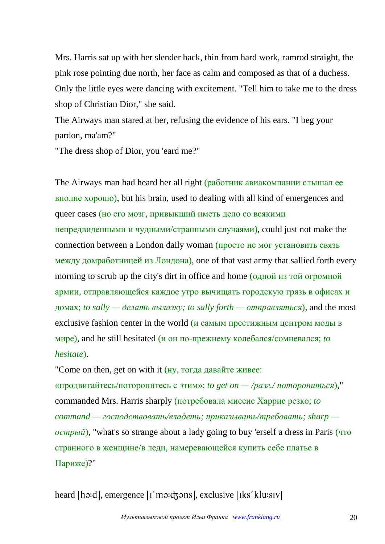Mrs. Harris sat up with her slender back, thin from hard work, ramrod straight, the pink rose pointing due north, her face as calm and composed as that of a duchess. Only the little eyes were dancing with excitement. "Tell him to take me to the dress shop of Christian Dior," she said.

The Airways man stared at her, refusing the evidence of his ears. "I beg your pardon, ma'am?"

"The dress shop of Dior, you 'eard me?"

The Airways man had heard her all right (работник авиакомпании слышал ее вполне хорошо), but his brain, used to dealing with all kind of emergences and queer cases (но его мозг, привыкший иметь дело со всякими непредвиденными и чудными/странными случаями), could just not make the connection between a London daily woman (просто не мог установить связь между домработницей из Лондона), one of that vast army that sallied forth every morning to scrub up the city's dirt in office and home (одной из той огромной армии, отправляющейся каждое утро вычищать городскую грязь в офисах и домах; *to sally — делать вылазку; to sally forth — отправляться*), and the most exclusive fashion center in the world (и самым престижным центром моды в мире), and he still hesitated (и он по-прежнему колебался/сомневался; *to hesitate*).

"Come on then, get on with it (ну, тогда давайте живее: «продвигайтесь/поторопитесь с этим»; *to get on — /разг./ поторопиться*)," commanded Mrs. Harris sharply (потребовала миссис Харрис резко; *to command — господствовать/владеть; приказывать/требовать; sharp острый*), "what's so strange about a lady going to buy 'erself a dress in Paris (что странного в женщине/в леди, намеревающейся купить себе платье в Париже)?"

heard [hə:d], emergence [I'mə:dʒəns], exclusive [Iks'klu:sIv]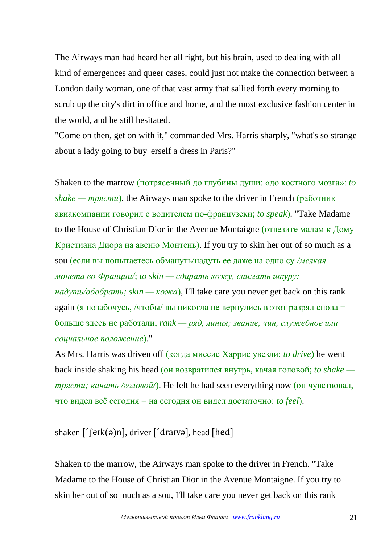The Airways man had heard her all right, but his brain, used to dealing with all kind of emergences and queer cases, could just not make the connection between a London daily woman, one of that vast army that sallied forth every morning to scrub up the city's dirt in office and home, and the most exclusive fashion center in the world, and he still hesitated.

"Come on then, get on with it," commanded Mrs. Harris sharply, "what's so strange about a lady going to buy 'erself a dress in Paris?"

Shaken to the marrow (потрясенный до глубины души: «до костного мозга»: *to shake — трясти*), the Airways man spoke to the driver in French (работник авиакомпании говорил с водителем по-французски; *to speak*). "Take Madame to the House of Christian Dior in the Avenue Montaigne (отвезите мадам к Дому Кристиана Диора на авеню Монтень). If you try to skin her out of so much as a sou (если вы попытаетесь обмануть/надуть ее даже на одно су */мелкая монета во Франции/*; *to skin — сдирать кожу, снимать шкуру; надуть/обобрать; skin — кожа*), I'll take care you never get back on this rank again (я позабочусь, /чтобы/ вы никогда не вернулись в этот разряд снова = больше здесь не работали; *rank — ряд, линия; звание, чин, служебное или социальное положение*)."

As Mrs. Harris was driven off (когда миссис Харрис увезли; *to drive*) he went back inside shaking his head (он возвратился внутрь, качая головой; *to shake трясти; качать /головой/*). He felt he had seen everything now (он чувствовал, что видел всё сегодня = на сегодня он видел достаточно: *to feel*).

shaken ['feɪk(ə)n], driver ['draɪvə], head [hed]

Shaken to the marrow, the Airways man spoke to the driver in French. "Take Madame to the House of Christian Dior in the Avenue Montaigne. If you try to skin her out of so much as a sou, I'll take care you never get back on this rank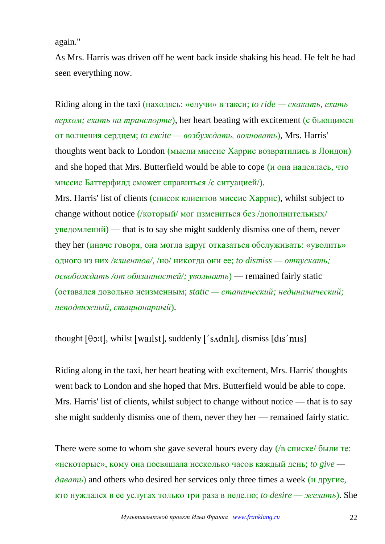again."

As Mrs. Harris was driven off he went back inside shaking his head. He felt he had seen everything now.

Riding along in the taxi (находясь: «едучи» в такси; *to ride — скакать, ехать верхом; ехать на транспорте*), her heart beating with excitement (с бьющимся от волнения сердцем; *to excite — возбуждать, волновать*), Mrs. Harris' thoughts went back to London (мысли миссис Харрис возвратились в Лондон) and she hoped that Mrs. Butterfield would be able to cope (и она надеялась, что миссис Баттерфилд сможет справиться /с ситуацией/).

Mrs. Harris' list of clients (список клиентов миссис Харрис), whilst subject to change without notice (/который/ мог измениться без /дополнительных/ уведомлений) — that is to say she might suddenly dismiss one of them, never they her (иначе говоря, она могла вдруг отказаться обслуживать: «уволить» одного из них */клиентов/*, /но/ никогда они ее; *to dismiss — отпускать; освобождать /от обязанностей/; увольнять*) — remained fairly static (оставался довольно неизменным; *static — статический; нединамический; неподвижный, стационарный*).

#### thought  $[0:1]$ , whilst [warlst], suddenly ['s Adnli], dismiss [dis'mis]

Riding along in the taxi, her heart beating with excitement, Mrs. Harris' thoughts went back to London and she hoped that Mrs. Butterfield would be able to cope. Mrs. Harris' list of clients, whilst subject to change without notice — that is to say she might suddenly dismiss one of them, never they her — remained fairly static.

There were some to whom she gave several hours every day (/в списке/ были те: «некоторые», кому она посвящала несколько часов каждый день; *to give давать*) and others who desired her services only three times a week (и другие, кто нуждался в ее услугах только три раза в неделю; *to desire — желать*). She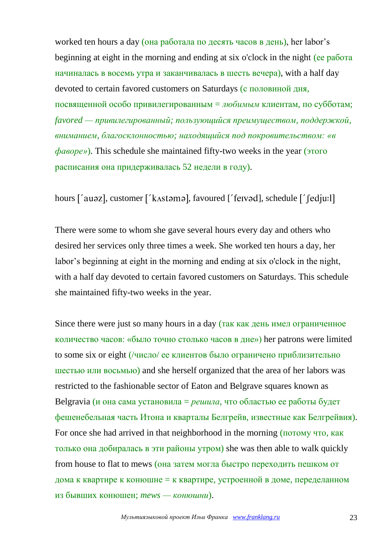worked ten hours a day (она работала по десять часов в день), her labor's beginning at eight in the morning and ending at six o'clock in the night (ее работа начиналась в восемь утра и заканчивалась в шесть вечера), with a half day devoted to certain favored customers on Saturdays (с половиной дня, посвященной особо привилегированным = *любимым* клиентам, по субботам; *favored — привилегированный; пользующийся преимуществом, поддержкой, вниманием, благосклонностью; находящийся под покровительством: «в фаворе»*). This schedule she maintained fifty-two weeks in the year (этого расписания она придерживалась 52 недели в году).

hours ['auəz], customer ['kʌstəmə], favoured ['feɪvəd], schedule ['fedju:l]

There were some to whom she gave several hours every day and others who desired her services only three times a week. She worked ten hours a day, her labor's beginning at eight in the morning and ending at six o'clock in the night, with a half day devoted to certain favored customers on Saturdays. This schedule she maintained fifty-two weeks in the year.

Since there were just so many hours in a day (так как день имел ограниченное количество часов: «было точно столько часов в дне») her patrons were limited to some six or eight (/число/ ее клиентов было ограничено приблизительно шестью или восьмью) and she herself organized that the area of her labors was restricted to the fashionable sector of Eaton and Belgrave squares known as Belgravia (и она сама установила = *решила*, что областью ее работы будет фешенебельная часть Итона и кварталы Белгрейв, известные как Белгрейвия). For once she had arrived in that neighborhood in the morning (потому что, как только она добиралась в эти районы утром) she was then able to walk quickly from house to flat to mews (она затем могла быстро переходить пешком от дома к квартире к конюшне = к квартире, устроенной в доме, переделанном из бывших конюшен; *mews — конюшни*).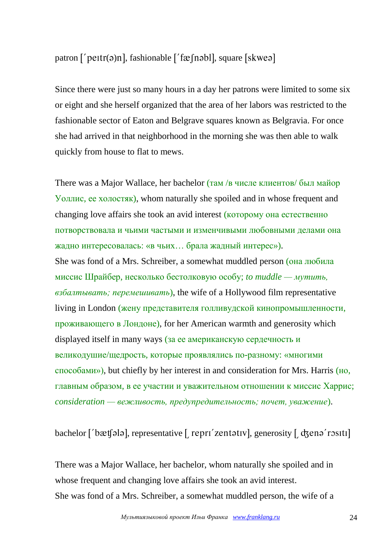## patron  $\lceil \text{'petr}(\sigma) \rceil$ , fashionable  $\lceil \text{'fæ}(\text{nobl}]$ , square  $\lceil \text{skweq} \rceil$

Since there were just so many hours in a day her patrons were limited to some six or eight and she herself organized that the area of her labors was restricted to the fashionable sector of Eaton and Belgrave squares known as Belgravia. For once she had arrived in that neighborhood in the morning she was then able to walk quickly from house to flat to mews.

There was a Major Wallace, her bachelor (там /в числе клиентов/ был майор Уоллис, ее холостяк), whom naturally she spoiled and in whose frequent and changing love affairs she took an avid interest (которому она естественно потворствовала и чьими частыми и изменчивыми любовными делами она жадно интересовалась: «в чьих… брала жадный интерес»). She was fond of a Mrs. Schreiber, a somewhat muddled person (она любила миссис Шрайбер, несколько бестолковую особу; *to muddle — мутить, взбалтывать; перемешивать*), the wife of a Hollywood film representative living in London (жену представителя голливудской кинопромышленности, проживающего в Лондоне), for her American warmth and generosity which displayed itself in many ways (за ее американскую сердечность и великодушие/щедрость, которые проявлялись по-разному: «многими способами»), but chiefly by her interest in and consideration for Mrs. Harris (но, главным образом, в ее участии и уважительном отношении к миссис Харрис; *consideration — вежливость, предупредительность; почет, уважение*).

bachelor ['bætfələ], representative [ repri'zentətiv], generosity [ dʒenə'rɔsiti]

There was a Major Wallace, her bachelor, whom naturally she spoiled and in whose frequent and changing love affairs she took an avid interest. She was fond of a Mrs. Schreiber, a somewhat muddled person, the wife of a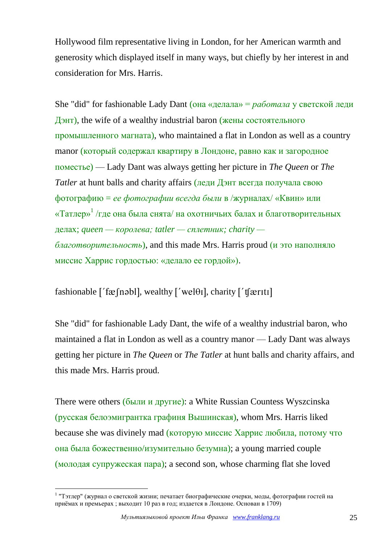Hollywood film representative living in London, for her American warmth and generosity which displayed itself in many ways, but chiefly by her interest in and consideration for Mrs. Harris.

She "did" for fashionable Lady Dant (она «делала» = *работала* у светской леди Дэнт), the wife of a wealthy industrial baron (жены состоятельного промышленного магната), who maintained a flat in London as well as a country manor (который содержал квартиру в Лондоне, равно как и загородное поместье) — Lady Dant was always getting her picture in *The Queen* or *The Tatler* at hunt balls and charity affairs (леди Дэнт всегда получала свою фотографию = *ее фотографии всегда были* в /журналах/ «Квин» или «Татлер»<sup>1</sup> /где она была снята/ на охотничьих балах и благотворительных делах; *queen — королева; tatler — сплетник; charity благотворительность*), and this made Mrs. Harris proud (и это наполняло миссис Харрис гордостью: «делало ее гордой»).

# fashionable ['fæfnəbl], wealthy ['wel $\theta$ I], charity ['tfærItI]

She "did" for fashionable Lady Dant, the wife of a wealthy industrial baron, who maintained a flat in London as well as a country manor — Lady Dant was always getting her picture in *The Queen* or *The Tatler* at hunt balls and charity affairs, and this made Mrs. Harris proud.

There were others (были и другие): a White Russian Countess Wyszcinska (русская белоэмигрантка графиня Вышинская), whom Mrs. Harris liked because she was divinely mad (которую миссис Харрис любила, потому что она была божественно/изумительно безумна); a young married couple (молодая супружеская пара); a second son, whose charming flat she loved

<u>.</u>

<sup>1</sup> "Тэтлер" (журнал о светской жизни; печатает биографические очерки, моды, фотографии гостей на приёмах и премьерах ; выходит 10 раз в год; издается в Лондоне. Основан в 1709)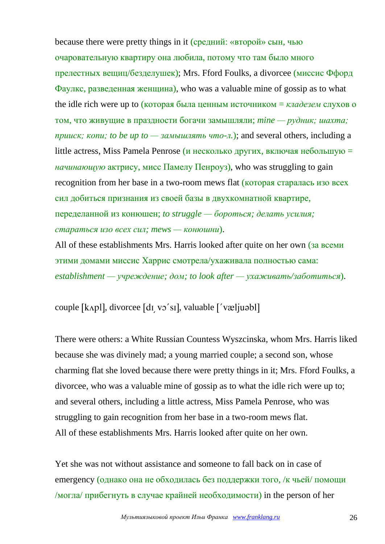because there were pretty things in it (средний: «второй» сын, чью очаровательную квартиру она любила, потому что там было много прелестных вещиц/безделушек); Mrs. Fford Foulks, a divorcee (миссис Ффорд Фаулкс, разведенная женщина), who was a valuable mine of gossip as to what the idle rich were up to (которая была ценным источником = *кладезем* слухов о том, что живущие в праздности богачи замышляли; *mine — рудник; шахта; прииск; копи; to be up to — замышлять что-л.*); and several others, including a little actress, Miss Pamela Penrose (и несколько других, включая небольшую = *начинающую* актрису, мисс Памелу Пенроуз), who was struggling to gain recognition from her base in a two-room mews flat (которая старалась изо всех сил добиться признания из своей базы в двухкомнатной квартире, переделанной из конюшен; *to struggle — бороться; делать усилия; стараться изо всех сил; mews — конюшни*).

All of these establishments Mrs. Harris looked after quite on her own (за всеми этими домами миссис Харрис смотрела/ухаживала полностью сама: *establishment — учреждение; дом; to look after — ухаживать/заботиться*).

couple  $[k\alpha p]$ , divorcee  $\left[dr\right]$  vo'si, valuable  $\left[$ 'væljuabl $\right]$ 

There were others: a White Russian Countess Wyszcinska, whom Mrs. Harris liked because she was divinely mad; a young married couple; a second son, whose charming flat she loved because there were pretty things in it; Mrs. Fford Foulks, a divorcee, who was a valuable mine of gossip as to what the idle rich were up to; and several others, including a little actress, Miss Pamela Penrose, who was struggling to gain recognition from her base in a two-room mews flat. All of these establishments Mrs. Harris looked after quite on her own.

Yet she was not without assistance and someone to fall back on in case of emergency (однако она не обходилась без поддержки того, /к чьей/ помощи /могла/ прибегнуть в случае крайней необходимости) in the person of her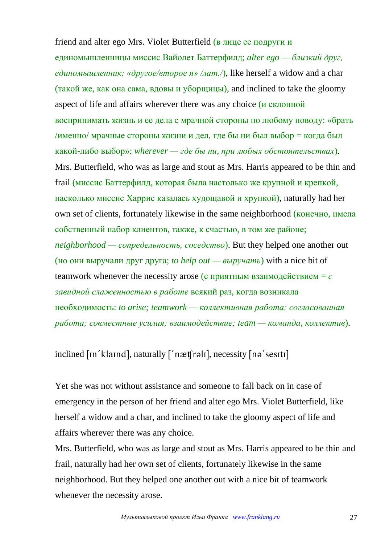friend and alter ego Mrs. Violet Butterfield (в лице ее подруги и единомышленницы миссис Вайолет Баттерфилд; *alter ego — близкий друг, единомышленник: «другое/второе я» /лат./*), like herself a widow and a char (такой же, как она сама, вдовы и уборщицы), and inclined to take the gloomy aspect of life and affairs wherever there was any choice (и склонной воспринимать жизнь и ее дела с мрачной стороны по любому поводу: «брать /именно/ мрачные стороны жизни и дел, где бы ни был выбор = когда был какой-либо выбор»; *wherever — где бы ни, при любых обстоятельствах*). Mrs. Butterfield, who was as large and stout as Mrs. Harris appeared to be thin and frail (миссис Баттерфилд, которая была настолько же крупной и крепкой, насколько миссис Харрис казалась худощавой и хрупкой), naturally had her own set of clients, fortunately likewise in the same neighborhood (конечно, имела собственный набор клиентов, также, к счастью, в том же районе; *neighborhood — сопредельность, соседство*). But they helped one another out (но они выручали друг друга; *to help out — выручать*) with a nice bit of teamwork whenever the necessity arose ( $\frac{c}{c}$  приятным взаимодействием =  $\frac{c}{c}$ *завидной слаженностью в работе* всякий раз, когда возникала необходимость: *to arise; teamwork — коллективная работа; согласованная работа; совместные усилия; взаимодействие; team — команда, коллектив*).

### inclined [In'klaind], naturally ['næt[rəli], necessity [nə'sesiti]

Yet she was not without assistance and someone to fall back on in case of emergency in the person of her friend and alter ego Mrs. Violet Butterfield, like herself a widow and a char, and inclined to take the gloomy aspect of life and affairs wherever there was any choice.

Mrs. Butterfield, who was as large and stout as Mrs. Harris appeared to be thin and frail, naturally had her own set of clients, fortunately likewise in the same neighborhood. But they helped one another out with a nice bit of teamwork whenever the necessity arose.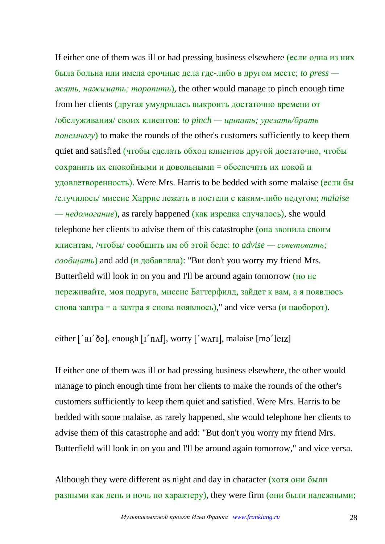If either one of them was ill or had pressing business elsewhere (если одна из них была больна или имела срочные дела где-либо в другом месте; *to press жать, нажимать; торопить*), the other would manage to pinch enough time from her clients (другая умудрялась выкроить достаточно времени от /обслуживания/ своих клиентов: *to pinch — щипать; урезать/брать понемногу*) to make the rounds of the other's customers sufficiently to keep them quiet and satisfied (чтобы сделать обход клиентов другой достаточно, чтобы сохранить их спокойными и довольными = обеспечить их покой и удовлетворенность). Were Mrs. Harris to be bedded with some malaise (если бы /случилось/ миссис Харрис лежать в постели с каким-либо недугом; *malaise — недомогание*), as rarely happened (как изредка случалось), she would telephone her clients to advise them of this catastrophe (она звонила своим клиентам, /чтобы/ сообщить им об этой беде: *to advise — советовать; сообщать*) and add (и добавляла): "But don't you worry mу friend Mrs. Butterfield will look in on you and I'll be around again tomorrow (но не переживайте, моя подруга, миссис Баттерфилд, зайдет к вам, а я появлюсь снова завтра = а завтра я снова появлюсь)," and vice versa (и наоборот).

either  $\lceil \n\alpha \rceil$  at  $\delta \Theta$ , enough  $\lceil \n\alpha \rceil$ , worry  $\lceil \n\alpha \rceil$ , malaise  $\lceil \n\alpha \rceil$  leiz

If either one of them was ill or had pressing business elsewhere, the other would manage to pinch enough time from her clients to make the rounds of the other's customers sufficiently to keep them quiet and satisfied. Were Mrs. Harris to be bedded with some malaise, as rarely happened, she would telephone her clients to advise them of this catastrophe and add: "But don't you worry my friend Mrs. Butterfield will look in on you and I'll be around again tomorrow," and vice versa.

Although they were different as night and day in character (хотя они были разными как день и ночь по характеру), they were firm (они были надежными;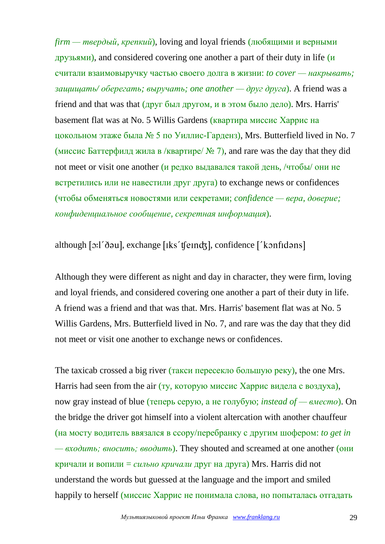*firm — твердый, крепкий*), loving and loyal friends (любящими и верными друзьями), and considered covering one another a part of their duty in life (и считали взаимовыручку частью своего долга в жизни: *to cover — накрывать; защищать/ оберегать; выручать; one another — друг друга*). A friend was a friend and that was that (друг был другом, и в этом было дело). Mrs. Harris' basement flat was at No. 5 Willis Gardens (квартира миссис Харрис на цокольном этаже была № 5 по Уиллис-Гарденз), Mrs. Butterfield lived in No. 7 (миссис Баттерфилд жила в /квартире/ № 7), and rare was the day that they did not meet or visit one another (и редко выдавался такой день, /чтобы/ они не встретились или не навестили друг друга) to exchange news or confidences (чтобы обменяться новостями или секретами; *confidence — вера, доверие; конфиденциальное сообщение, секретная информация*).

### although [c:l'dou], exchange [Iks'tfeind3], confidence ['konfidons]

Although they were different as night and day in character, they were firm, loving and loyal friends, and considered covering one another a part of their duty in life. A friend was a friend and that was that. Mrs. Harris' basement flat was at No. 5 Willis Gardens, Mrs. Butterfield lived in No. 7, and rare was the day that they did not meet or visit one another to exchange news or confidences.

The taxicab crossed a big river (такси пересекло большую реку), the one Mrs. Harris had seen from the air (ту, которую миссис Харрис видела с воздуха), now gray instead of blue (теперь серую, а не голубую; *instead of — вместо*). On the bridge the driver got himself into a violent altercation with another chauffeur (на мосту водитель ввязался в ссору/перебранку с другим шофером: *to get in — входить; вносить; вводить*). They shouted and screamed at one another (они кричали и вопили = *сильно кричали* друг на друга) Mrs. Harris did not understand the words but guessed at the language and the import and smiled happily to herself (миссис Харрис не понимала слова, но попыталась отгадать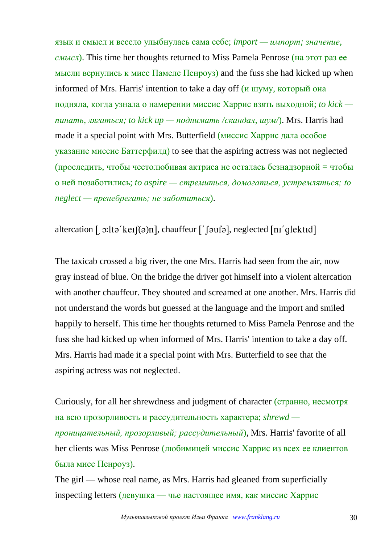язык и смысл и весело улыбнулась сама себе; *import — импорт; значение, смысл*). This time her thoughts returned to Miss Pamela Penrose (на этот раз ее мысли вернулись к мисс Памеле Пенроуз) and the fuss she had kicked up when informed of Mrs. Harris' intention to take a day off (и шуму, который она подняла, когда узнала о намерении миссис Харрис взять выходной; *to kick пинать, лягаться; to kick up — поднимать /скандал, шум/*). Mrs. Harris had made it a special point with Mrs. Butterfield (миссис Харрис дала особое указание миссис Баттерфилд) to see that the aspiring actress was not neglected (проследить, чтобы честолюбивая актриса не осталась безнадзорной = чтобы о ней позаботились; *to aspire — стремиться, домогаться, устремляться; to neglect — пренебрегать; не заботиться*).

altercation [ $\pi$ : ker $\pi$ ( $\pi$ )n], chauffeur  $\pi$  [ $\pi$ ], neglected  $\pi$  [ $\pi$ ] glektid]

The taxicab crossed a big river, the one Mrs. Harris had seen from the air, now gray instead of blue. On the bridge the driver got himself into a violent altercation with another chauffeur. They shouted and screamed at one another. Mrs. Harris did not understand the words but guessed at the language and the import and smiled happily to herself. This time her thoughts returned to Miss Pamela Penrose and the fuss she had kicked up when informed of Mrs. Harris' intention to take a day off. Mrs. Harris had made it a special point with Mrs. Butterfield to see that the aspiring actress was not neglected.

Curiously, for all her shrewdness and judgment of character (странно, несмотря на всю прозорливость и рассудительность характера; *shrewd —*

*проницательный, прозорливый; рассудительный*), Mrs. Harris' favorite of all her clients was Miss Penrose (любимицей миссис Харрис из всех ее клиентов была мисс Пенроуз).

The girl — whose real name, as Mrs. Harris had gleaned from superficially inspecting letters (девушка — чье настоящее имя, как миссис Харрис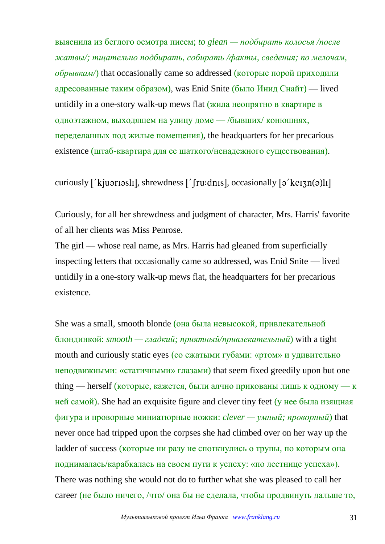выяснила из беглого осмотра писем; *to glean — подбирать колосья /после жатвы/; тщательно подбирать, собирать /факты, сведения; по мелочам,*   $o6p$ ывкам $\prime$ ) that occasionally came so addressed (которые порой приходили адресованные таким образом), was Enid Snite (было Инид Снайт) — lived untidily in a one-story walk-up mews flat (жила неопрятно в квартире в одноэтажном, выходящем на улицу доме — /бывших/ конюшнях, переделанных под жилые помещения), the headquarters for her precarious existence (штаб-квартира для ее шаткого/ненадежного существования).

curiously  $\lceil$  kjuariaslil, shrewdness  $\lceil$  fru:dnisl, occasionally  $\lceil$  a keizn(a)lil

Curiously, for all her shrewdness and judgment of character, Mrs. Harris' favorite of all her clients was Miss Penrose.

The girl — whose real name, as Mrs. Harris had gleaned from superficially inspecting letters that occasionally came so addressed, was Enid Snite — lived untidily in a one-story walk-up mews flat, the headquarters for her precarious existence.

She was a small, smooth blonde (она была невысокой, привлекательной блондинкой: *smooth — гладкий; приятный/привлекательный*) with a tight mouth and curiously static eyes (со сжатыми губами: «ртом» и удивительно неподвижными: «статичными» глазами) that seem fixed greedily upon but one thing — herself (которые, кажется, были алчно прикованы лишь к одному — к ней самой). She had an exquisite figure and clever tiny feet (у нее была изящная фигура и проворные миниатюрные ножки: *clever — умный; проворный*) that never once had tripped upon the corpses she had climbed over on her way up the ladder of success (которые ни разу не споткнулись о трупы, по которым она поднималась/карабкалась на своем пути к успеху: «по лестнице успеха»). There was nothing she would not do to further what she was pleased to call her career (не было ничего, /что/ она бы не сделала, чтобы продвинуть дальше то,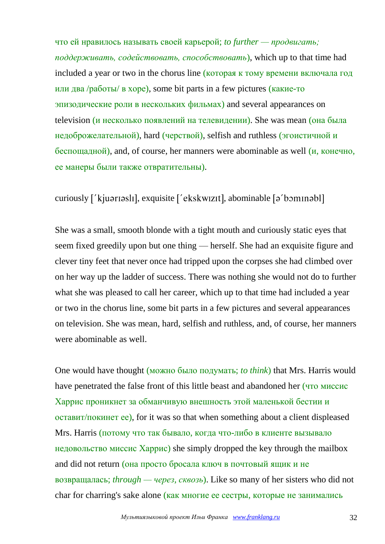что ей нравилось называть своей карьерой; *to further — продвигать; поддерживать, содействовать, способствовать*), which up to that time had included a year or two in the chorus line (которая к тому времени включала год или два /работы/ в хоре), some bit parts in a few pictures (какие-то эпизодические роли в нескольких фильмах) and several appearances on television (и несколько появлений на телевидении). She was mean (она была недоброжелательной), hard (черствой), selfish and ruthless (эгоистичной и беспощадной), and, of course, her manners were abominable as well (и, конечно, ее манеры были также отвратительны).

curiously ['kjuarraslı], exquisite ['ekskwizit], abominable [a'bominabl]

She was a small, smooth blonde with a tight mouth and curiously static eyes that seem fixed greedily upon but one thing — herself. She had an exquisite figure and clever tiny feet that never once had tripped upon the corpses she had climbed over on her way up the ladder of success. There was nothing she would not do to further what she was pleased to call her career, which up to that time had included a year or two in the chorus line, some bit parts in a few pictures and several appearances on television. She was mean, hard, selfish and ruthless, and, of course, her manners were abominable as well.

One would have thought (можно было подумать; *to think*) that Mrs. Harris would have penetrated the false front of this little beast and abandoned her (что миссис Харрис проникнет за обманчивую внешность этой маленькой бестии и оставит/покинет ее), for it was so that when something about a client displeased Mrs. Harris (потому что так бывало, когда что-либо в клиенте вызывало недовольство миссис Харрис) she simply dropped the key through the mailbox and did not return (она просто бросала ключ в почтовый ящик и не возвращалась; *through — через, сквозь*). Like so many of her sisters who did not char for charring's sake alone (как многие ее сестры, которые не занимались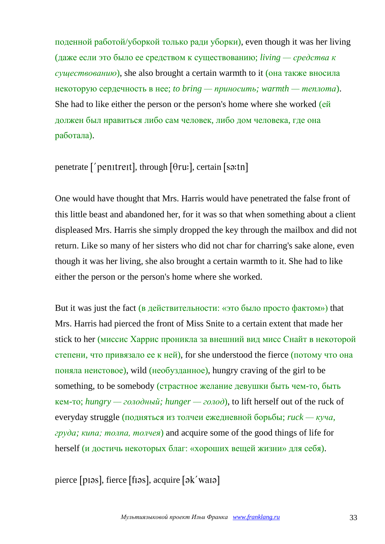поденной работой/уборкой только ради уборки), even though it was her living (даже если это было ее средством к существованию; *living — средства к существованию*), she also brought a certain warmth to it (она также вносила некоторую сердечность в нее; *to bring — приносить; warmth — теплота*). She had to like either the person or the person's home where she worked (ей должен был нравиться либо сам человек, либо дом человека, где она работала).

### penetrate  $\lceil$  'penitreit], through  $\lceil \theta$ ru:], certain  $\lceil \sin \rceil$

One would have thought that Mrs. Harris would have penetrated the false front of this little beast and abandoned her, for it was so that when something about a client displeased Mrs. Harris she simply dropped the key through the mailbox and did not return. Like so many of her sisters who did not char for charring's sake alone, even though it was her living, she also brought a certain warmth to it. She had to like either the person or the person's home where she worked.

But it was just the fact (в действительности: «это было просто фактом») that Mrs. Harris had pierced the front of Miss Snite to a certain extent that made her stick to her (миссис Харрис проникла за внешний вид мисс Снайт в некоторой степени, что привязало ее к ней), for she understood the fierce (потому что она поняла неистовое), wild (необузданное), hungry craving of the girl to be something, to be somebody (страстное желание девушки быть чем-то, быть кем-то; *hungry — голодный; hunger — голод*), to lift herself out of the ruck of everyday struggle (подняться из толчеи ежедневной борьбы; *ruck — куча, груда; кипа; толпа, толчея*) and acquire some of the good things of life for herself (и достичь некоторых благ: «хороших вещей жизни» для себя).

pierce [pɪəs], fierce [fɪəs], acquire [ək'waɪə]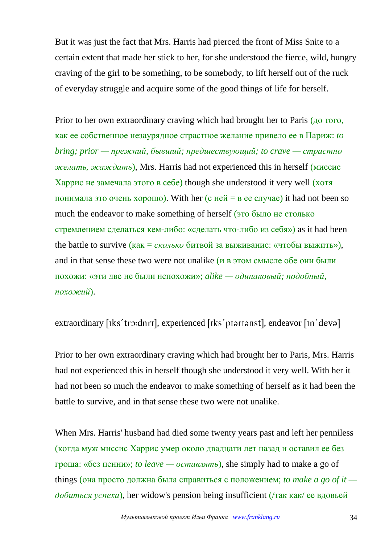But it was just the fact that Mrs. Harris had pierced the front of Miss Snite to a certain extent that made her stick to her, for she understood the fierce, wild, hungry craving of the girl to be something, to be somebody, to lift herself out of the ruck of everyday struggle and acquire some of the good things of life for herself.

Prior to her own extraordinary craving which had brought her to Paris (до того, как ее собственное незаурядное страстное желание привело ее в Париж: *to bring; prior — прежний, бывший; предшествующий; to crave — страстно желать, жаждать*), Mrs. Harris had not experienced this in herself (миссис Харрис не замечала этого в себе) though she understood it very well (хотя понимала это очень хорошо). With her (с ней = в ее случае) it had not been so much the endeavor to make something of herself (это было не столько стремлением сделаться кем-либо: «сделать что-либо из себя») as it had been the battle to survive (как = *сколько* битвой за выживание: «чтобы выжить»), and in that sense these two were not unalike (и в этом смысле обе они были похожи: «эти две не были непохожи»; *alike — одинаковый; подобный, похожий*).

extraordinary [Iks'tro:dnrI], experienced [Iks'piarianst], endeavor [In'deva]

Prior to her own extraordinary craving which had brought her to Paris, Mrs. Harris had not experienced this in herself though she understood it very well. With her it had not been so much the endeavor to make something of herself as it had been the battle to survive, and in that sense these two were not unalike.

When Mrs. Harris' husband had died some twenty years past and left her penniless (когда муж миссис Харрис умер около двадцати лет назад и оставил ее без гроша: «без пенни»; *to leave — оставлять*), she simply had to make a go of things (она просто должна была справиться с положением; *to make a go of it добиться успеха*), her widow's pension being insufficient (/так как/ ее вдовьей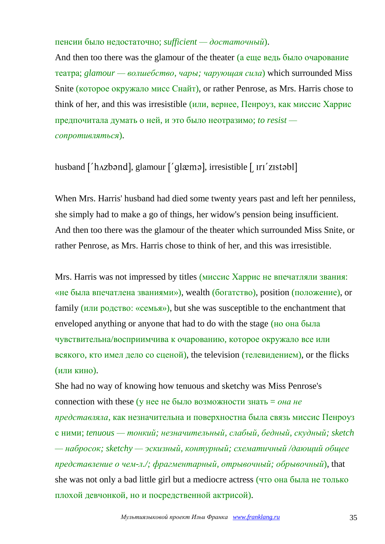#### пенсии было недостаточно; *sufficient — достаточный*).

And then too there was the glamour of the theater (а еще ведь было очарование театра; *glamour — волшебство, чары; чарующая сила*) which surrounded Miss Snite (которое окружало мисс Снайт), or rather Penrose, as Mrs. Harris chose to think of her, and this was irresistible (или, вернее, Пенроуз, как миссис Харрис предпочитала думать о ней, и это было неотразимо; *to resist сопротивляться*).

husband ['hʌzbənd], glamour ['qlæmə], irresistible [[IrI'zIstəbl]]

When Mrs. Harris' husband had died some twenty years past and left her penniless, she simply had to make a go of things, her widow's pension being insufficient. And then too there was the glamour of the theater which surrounded Miss Snite, or rather Penrose, as Mrs. Harris chose to think of her, and this was irresistible.

Mrs. Harris was not impressed by titles (миссис Харрис не впечатляли звания: «не была впечатлена званиями»), wealth (богатство), position (положение), or family (или родство: «семья»), but she was susceptible to the enchantment that enveloped anything or anyone that had to do with the stage (но она была чувствительна/восприимчива к очарованию, которое окружало все или всякого, кто имел дело со сценой), the television (телевидением), or the flicks (или кино).

She had no way of knowing how tenuous and sketchy was Miss Penrose's connection with these (у нее не было возможности знать = *она не представляла*, как незначительна и поверхностна была связь миссис Пенроуз с ними; *tenuous — тонкий; незначительный, слабый, бедный, скудный; sketch — набросок; sketchy — эскизный, контурный; схематичный /дающий общее представление о чем-л./; фрагментарный, отрывочный; обрывочный*), that she was not only a bad little girl but a mediocre actress (что она была не только плохой девчонкой, но и посредственной актрисой).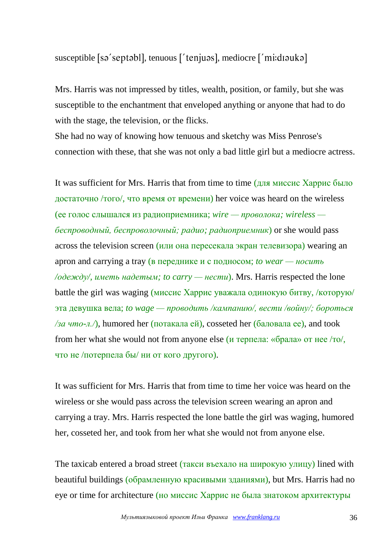susceptible [sə'septəbl], tenuous ['tenjuəs], mediocre ['mi:dɪəukə]

Mrs. Harris was not impressed by titles, wealth, position, or family, but she was susceptible to the enchantment that enveloped anything or anyone that had to do with the stage, the television, or the flicks.

She had no way of knowing how tenuous and sketchy was Miss Penrose's connection with these, that she was not only a bad little girl but a mediocre actress.

It was sufficient for Mrs. Harris that from time to time (для миссис Харрис было достаточно /того/, что время от времени) her voice was heard on the wireless (ее голос слышался из радиоприемника; *wire — проволока; wireless беспроводный, беспроволочный; радио; радиоприемник*) or she would pass across the television screen (или она пересекала экран телевизора) wearing an apron and carrying a tray (в переднике и с подносом; *to wear — носить /одежду/, иметь надетым; to carry — нести*). Mrs. Harris respected the lone battle the girl was waging (миссис Харрис уважала одинокую битву, /которую/ эта девушка вела; *to wage — проводить /кампанию/, вести /войну/; бороться /за что-л./*), humored her (потакала ей), cosseted her (баловала ее), and took from her what she would not from anyone else (и терпела: «брала» от нее /то/, что не /потерпела бы/ ни от кого другого).

It was sufficient for Mrs. Harris that from time to time her voice was heard on the wireless or she would pass across the television screen wearing an apron and carrying a tray. Mrs. Harris respected the lone battle the girl was waging, humored her, cosseted her, and took from her what she would not from anyone else.

The taxicab entered a broad street (такси въехало на широкую улицу) lined with beautiful buildings (обрамленную красивыми зданиями), but Mrs. Harris had no eye or time for architecture (но миссис Харрис не была знатоком архитектуры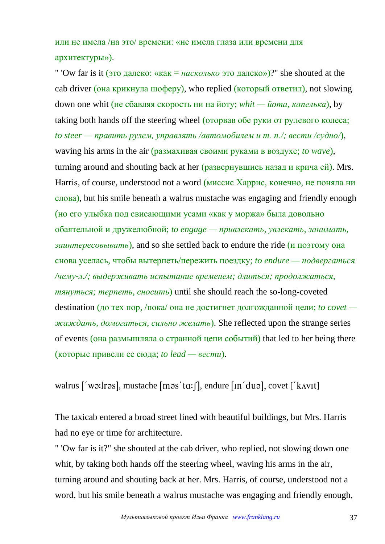или не имела /на это/ времени: «не имела глаза или времени для архитектуры»).

" 'Ow far is it (это далеко: «как = *насколько* это далеко»)?" she shouted at the cab driver (она крикнула шоферу), who replied (который ответил), not slowing down one whit (не сбавляя скорость ни на йоту; *whit — йота, капелька*), by taking both hands off the steering wheel (оторвав обе руки от рулевого колеса; *to steer — править рулем, управлять /автомобилем и т. п./; вести /судно/*), waving his arms in the air (размахивая своими руками в воздухе; *to wave*), turning around and shouting back at her (развернувшись назад и крича  $e\ddot{u}$ ). Mrs. Harris, of course, understood not a word (миссис Харрис, конечно, не поняла ни слова), but his smile beneath a walrus mustache was engaging and friendly enough (но его улыбка под свисающими усами «как у моржа» была довольно обаятельной и дружелюбной; *to engage — привлекать, увлекать, занимать, заинтересовывать*), and so she settled back to endure the ride (*и поэтому она* снова уселась, чтобы вытерпеть/пережить поездку; *to endure — подвергаться /чему-л./; выдерживать испытание временем; длиться; продолжаться, тянуться; терпеть, сносить*) until she should reach the so-long-coveted destination (до тех пор, /пока/ она не достигнет долгожданной цели; *to covet жаждать, домогаться, сильно желать*). She reflected upon the strange series of events (она размышляла о странной цепи событий) that led to her being there (которые привели ее сюда; *to lead — вести*).

walrus ['wo:lrəs], mustache  ${\rm [mas'taf]}$ , endure  ${\rm [In'duə]}$ , covet ['k avit]

The taxicab entered a broad street lined with beautiful buildings, but Mrs. Harris had no eye or time for architecture.

" 'Ow far is it?" she shouted at the cab driver, who replied, not slowing down one whit, by taking both hands off the steering wheel, waving his arms in the air, turning around and shouting back at her. Mrs. Harris, of course, understood not a word, but his smile beneath a walrus mustache was engaging and friendly enough,